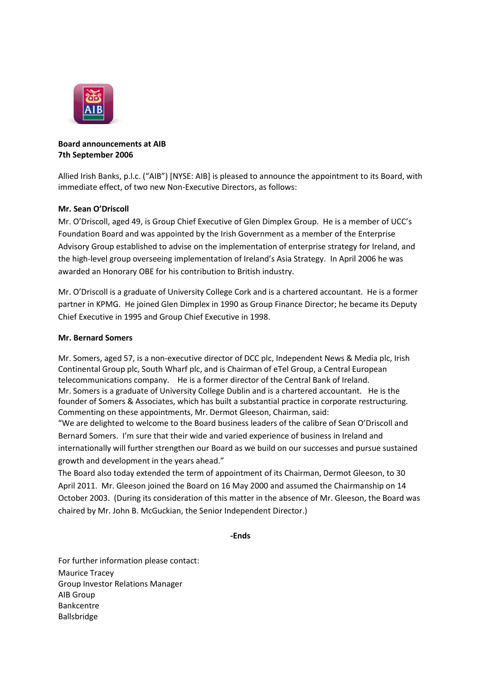

## **Board announcements at AIB 7th September 2006**

Allied Irish Banks, p.l.c. ("AIB") [NYSE: AIB] is pleased to announce the appointment to its Board, with immediate effect, of two new Non-Executive Directors, as follows:

## **Mr. Sean O'Driscoll**

Mr. O'Driscoll, aged 49, is Group Chief Executive of Glen Dimplex Group. He is a member of UCC's Foundation Board and was appointed by the Irish Government as a member of the Enterprise Advisory Group established to advise on the implementation of enterprise strategy for Ireland, and the high-level group overseeing implementation of Ireland's Asia Strategy. In April 2006 he was awarded an Honorary OBE for his contribution to British industry.

Mr. O'Driscoll is a graduate of University College Cork and is a chartered accountant. He is a former partner in KPMG. He joined Glen Dimplex in 1990 as Group Finance Director; he became its Deputy Chief Executive in 1995 and Group Chief Executive in 1998.

## **Mr. Bernard Somers**

Mr. Somers, aged 57, is a non-executive director of DCC plc, Independent News & Media plc, Irish Continental Group plc, South Wharf plc, and is Chairman of eTel Group, a Central European telecommunications company. He is a former director of the Central Bank of Ireland. Mr. Somers is a graduate of University College Dublin and is a chartered accountant. He is the founder of Somers & Associates, which has built a substantial practice in corporate restructuring. Commenting on these appointments, Mr. Dermot Gleeson, Chairman, said:

"We are delighted to welcome to the Board business leaders of the calibre of Sean O'Driscoll and Bernard Somers. I'm sure that their wide and varied experience of business in Ireland and internationally will further strengthen our Board as we build on our successes and pursue sustained growth and development in the years ahead."

The Board also today extended the term of appointment of its Chairman, Dermot Gleeson, to 30 April 2011. Mr. Gleeson joined the Board on 16 May 2000 and assumed the Chairmanship on 14 October 2003. (During its consideration of this matter in the absence of Mr. Gleeson, the Board was chaired by Mr. John B. McGuckian, the Senior Independent Director.)

**-Ends**

For further information please contact: Maurice Tracey Group Investor Relations Manager AIB Group Bankcentre Ballsbridge